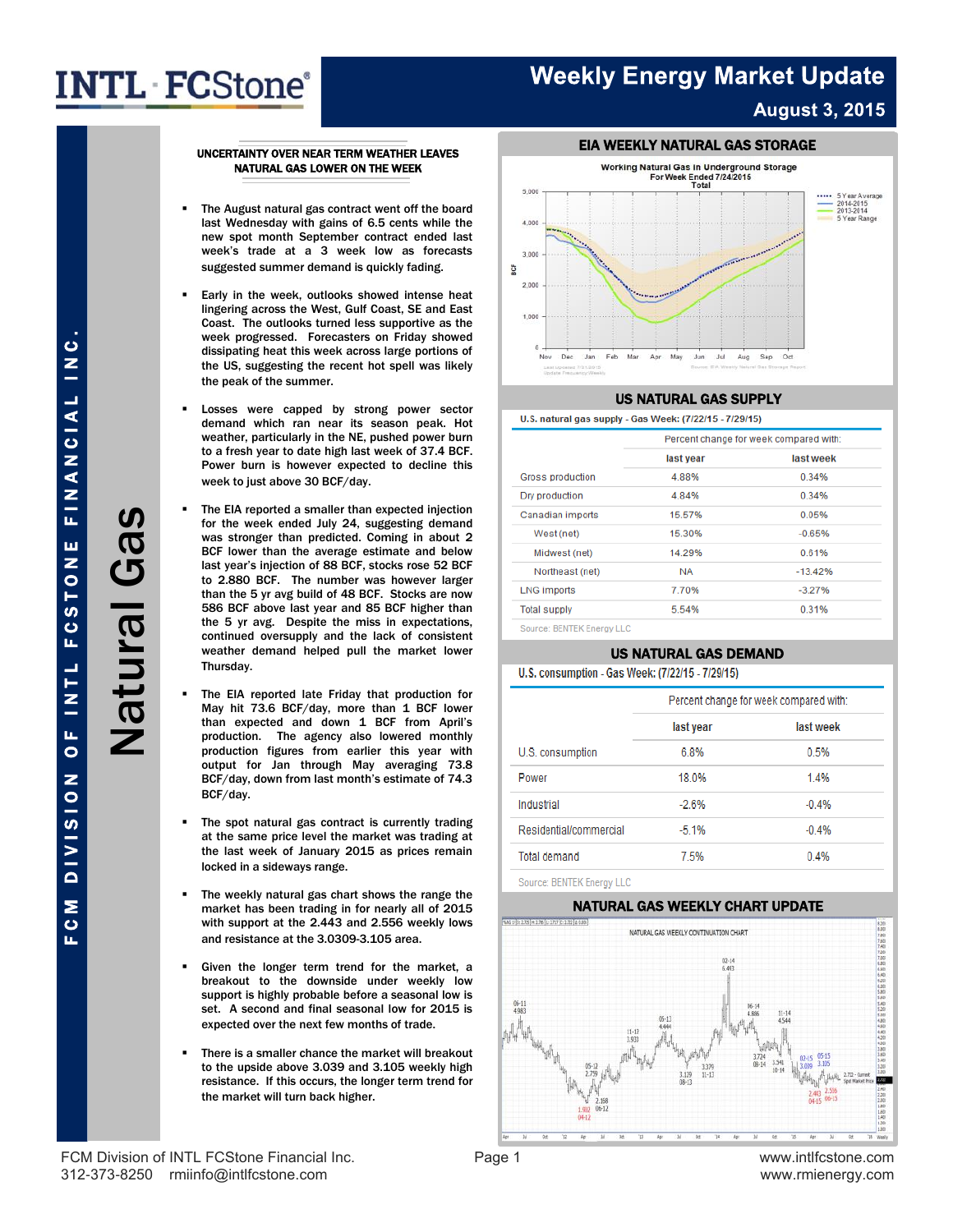### **Weekly Energy Market Update August 3, 2015**

#### UNCERTAINTY OVER NEAR TERM WEATHER LEAVES NATURAL GAS LOWER ON THE WEEK

- The August natural gas contract went off the board last Wednesday with gains of 6.5 cents while the new spot month September contract ended last week's trade at a 3 week low as forecasts suggested summer demand is quickly fading.
- Early in the week, outlooks showed intense heat lingering across the West, Gulf Coast, SE and East Coast. The outlooks turned less supportive as the week progressed. Forecasters on Friday showed dissipating heat this week across large portions of the US, suggesting the recent hot spell was likely the peak of the summer.
- Losses were capped by strong power sector demand which ran near its season peak. Hot weather, particularly in the NE, pushed power burn to a fresh year to date high last week of 37.4 BCF. Power burn is however expected to decline this week to just above 30 BCF/day.
- The EIA reported a smaller than expected injection for the week ended July 24, suggesting demand was stronger than predicted. Coming in about 2 BCF lower than the average estimate and below last year's injection of 88 BCF, stocks rose 52 BCF to 2.880 BCF. The number was however larger than the 5 yr avg build of 48 BCF. Stocks are now 586 BCF above last year and 85 BCF higher than the 5 yr avg. Despite the miss in expectations, continued oversupply and the lack of consistent weather demand helped pull the market lower Thursday.
- The EIA reported late Friday that production for May hit 73.6 BCF/day, more than 1 BCF lower than expected and down 1 BCF from April's production. The agency also lowered monthly production figures from earlier this year with output for Jan through May averaging 73.8 BCF/day, down from last month's estimate of 74.3 BCF/day.
- The spot natural gas contract is currently trading at the same price level the market was trading at the last week of January 2015 as prices remain locked in a sideways range.
- The weekly natural gas chart shows the range the market has been trading in for nearly all of 2015 with support at the 2.443 and 2.556 weekly lows and resistance at the 3.0309-3.105 area.
- Given the longer term trend for the market, a breakout to the downside under weekly low support is highly probable before a seasonal low is set. A second and final seasonal low for 2015 is expected over the next few months of trade.
- There is a smaller chance the market will breakout to the upside above 3.039 and 3.105 weekly high resistance. If this occurs, the longer term trend for the market will turn back higher.



#### US NATURAL GAS SUPPLY

#### U.S. natural gas supply - Gas Week: (7/22/15 - 7/29/15)

|                           | Percent change for week compared with: |           |  |  |  |
|---------------------------|----------------------------------------|-----------|--|--|--|
|                           | last year                              | last week |  |  |  |
| Gross production          | 4.88%                                  | 0.34%     |  |  |  |
| Dry production            | 4.84%                                  | 0.34%     |  |  |  |
| Canadian imports          | 15.57%                                 | 0.05%     |  |  |  |
| West (net)                | 15.30%                                 | $-0.65%$  |  |  |  |
| Midwest (net)             | 14.29%                                 | 0.61%     |  |  |  |
| Northeast (net)           | <b>NA</b>                              | $-13.42%$ |  |  |  |
| <b>LNG imports</b>        | 7.70%                                  | $-3.27%$  |  |  |  |
| <b>Total supply</b>       | 5.54%                                  | 0.31%     |  |  |  |
| Source: RENTEK Engroy LLC |                                        |           |  |  |  |

#### US NATURAL GAS DEMAND

#### U.S. consumption - Gas Week: (7/22/15 - 7/29/15)

|                        |           | Percent change for week compared with: |
|------------------------|-----------|----------------------------------------|
|                        | last year | last week                              |
| U.S. consumption       | 6.8%      | 0.5%                                   |
| Power                  | 18.0%     | 1.4%                                   |
| Industrial             | $-2.6%$   | $-0.4%$                                |
| Residential/commercial | $-5.1%$   | $-0.4%$                                |
| <b>Total demand</b>    | 7.5%      | 0.4%                                   |

Source: BENTEK Energy LLC

#### NATURAL GAS WEEKLY CHART UPDATE



U<br>Z<br>I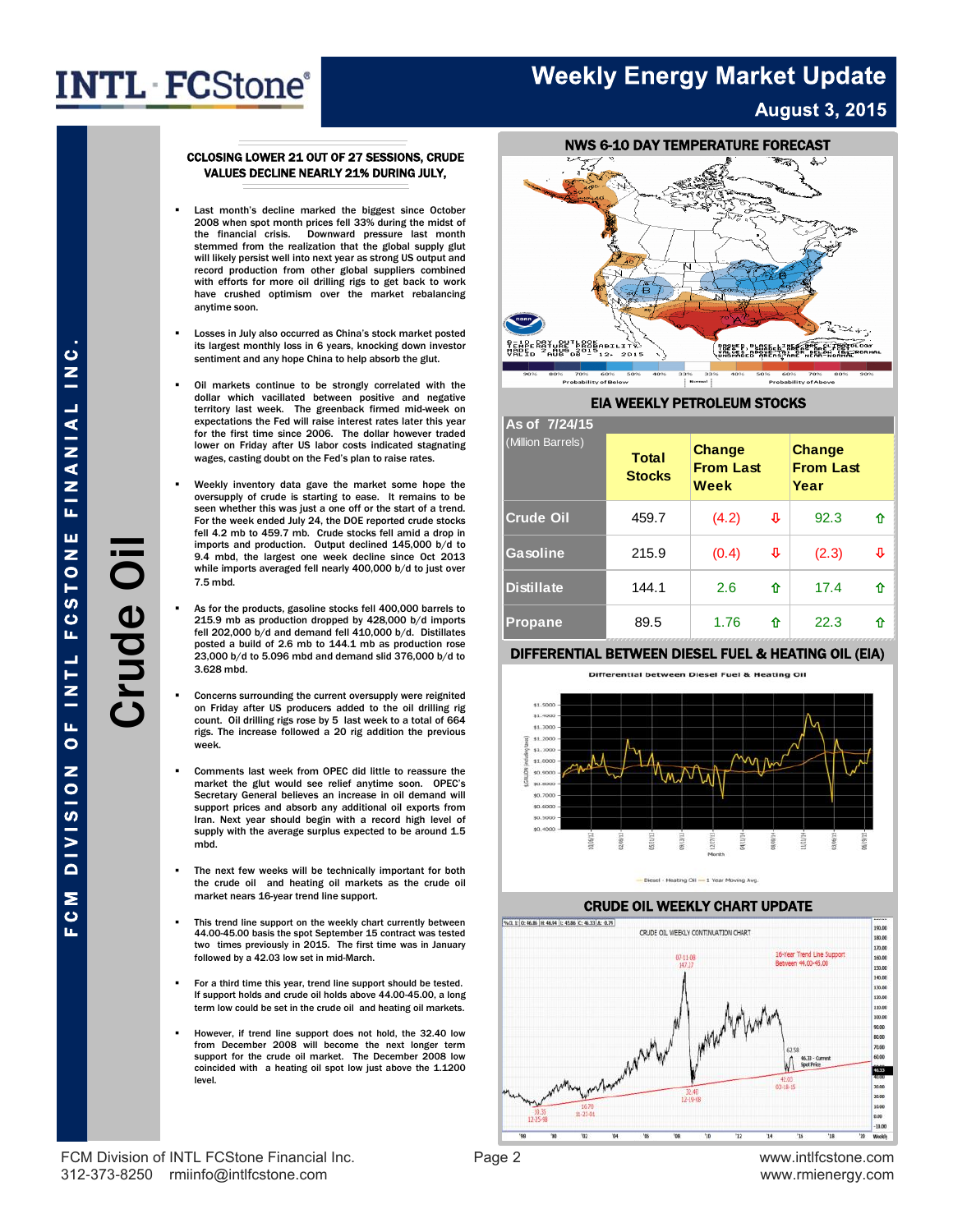### **Weekly Energy Market Update August 3, 2015**

#### CCLOSING LOWER 21 OUT OF 27 SESSIONS, CRUDE VALUES DECLINE NEARLY 21% DURING JULY,

- Last month's decline marked the biggest since October 2008 when spot month prices fell 33% during the midst of the financial crisis. Downward pressure last month stemmed from the realization that the global supply glut will likely persist well into next year as strong US output and record production from other global suppliers combined with efforts for more oil drilling rigs to get back to work have crushed optimism over the market rebalancing anytime soon.
- Losses in July also occurred as China's stock market posted its largest monthly loss in 6 years, knocking down investor sentiment and any hope China to help absorb the glut.
- Oil markets continue to be strongly correlated with the dollar which vacillated between positive and negative territory last week. The greenback firmed mid-week on expectations the Fed will raise interest rates later this year for the first time since 2006. The dollar however traded lower on Friday after US labor costs indicated stagnating wages, casting doubt on the Fed's plan to raise rates.
- Weekly inventory data gave the market some hope the oversupply of crude is starting to ease. It remains to be seen whether this was just a one off or the start of a trend. For the week ended July 24, the DOE reported crude stocks fell 4.2 mb to 459.7 mb. Crude stocks fell amid a drop in imports and production. Output declined 145,000 b/d to 9.4 mbd, the largest one week decline since Oct 2013 while imports averaged fell nearly 400,000 b/d to just over 7.5 mbd.
- As for the products, gasoline stocks fell 400,000 barrels to 215.9 mb as production dropped by 428,000 b/d imports fell 202,000 b/d and demand fell 410,000 b/d. Distillates posted a build of 2.6 mb to 144.1 mb as production rose 23,000 b/d to 5.096 mbd and demand slid 376,000 b/d to 3.628 mbd.
- Concerns surrounding the current oversupply were reignited on Friday after US producers added to the oil drilling rig count. Oil drilling rigs rose by 5 last week to a total of 664 rigs. The increase followed a 20 rig addition the previous week.
- Comments last week from OPEC did little to reassure the market the glut would see relief anytime soon. OPEC's Secretary General believes an increase in oil demand will support prices and absorb any additional oil exports from Iran. Next year should begin with a record high level of supply with the average surplus expected to be around 1.5 mbd.
- The next few weeks will be technically important for both the crude oil and heating oil markets as the crude oil market nears 16-year trend line support.
- This trend line support on the weekly chart currently between 44.00-45.00 basis the spot September 15 contract was tested two times previously in 2015. The first time was in January followed by a 42.03 low set in mid-March.
- For a third time this year, trend line support should be tested. If support holds and crude oil holds above 44.00-45.00, a long term low could be set in the crude oil and heating oil markets.
- However, if trend line support does not hold, the 32.40 low from December 2008 will become the next longer term support for the crude oil market. The December 2008 low coincided with a heating oil spot low just above the 1.1200 level.



#### EIA WEEKLY PETROLEUM STOCKS

| As of 7/24/15     |                               |                                    |   |                                           |   |  |  |
|-------------------|-------------------------------|------------------------------------|---|-------------------------------------------|---|--|--|
| (Million Barrels) | <b>Total</b><br><b>Stocks</b> | Change<br><b>From Last</b><br>Week |   | <b>Change</b><br><b>From Last</b><br>Year |   |  |  |
| <b>Crude Oil</b>  | 459.7                         | (4.2)                              | ⇩ | 92.3                                      | ⇧ |  |  |
| Gasoline          | 215.9                         | (0.4)                              | ⇩ | (2.3)                                     | ⊕ |  |  |
| <b>Distillate</b> | 144.1                         | 2.6                                | ⇧ | 17.4                                      | ⇧ |  |  |
| <b>Propane</b>    | 89.5                          | 1.76                               | ⇧ | 22.3                                      | ⇧ |  |  |

#### DIFFERENTIAL BETWEEN DIESEL FUEL & HEATING OIL (EIA)







#### CRUDE OIL WEEKLY CHART UPDATE



FCM Division of INTL FCStone Financial Inc. 
<br>
Page 2 Www.intlfcstone.com 312-373-8250 rmiinfo@intlfcstone.com www.rmienergy.com

F C M D I V I S I O F I N T L F C S TO N E FI N A N I A L I N C .<br>Crude C Crude Oil **FINANIAL** ш **FCSTON** Crude Oi  $\frac{1}{2}$  $\overline{0}$ **DIVISION** 

M C

Щ

 $\bullet$  $\sum_{i=1}^{n}$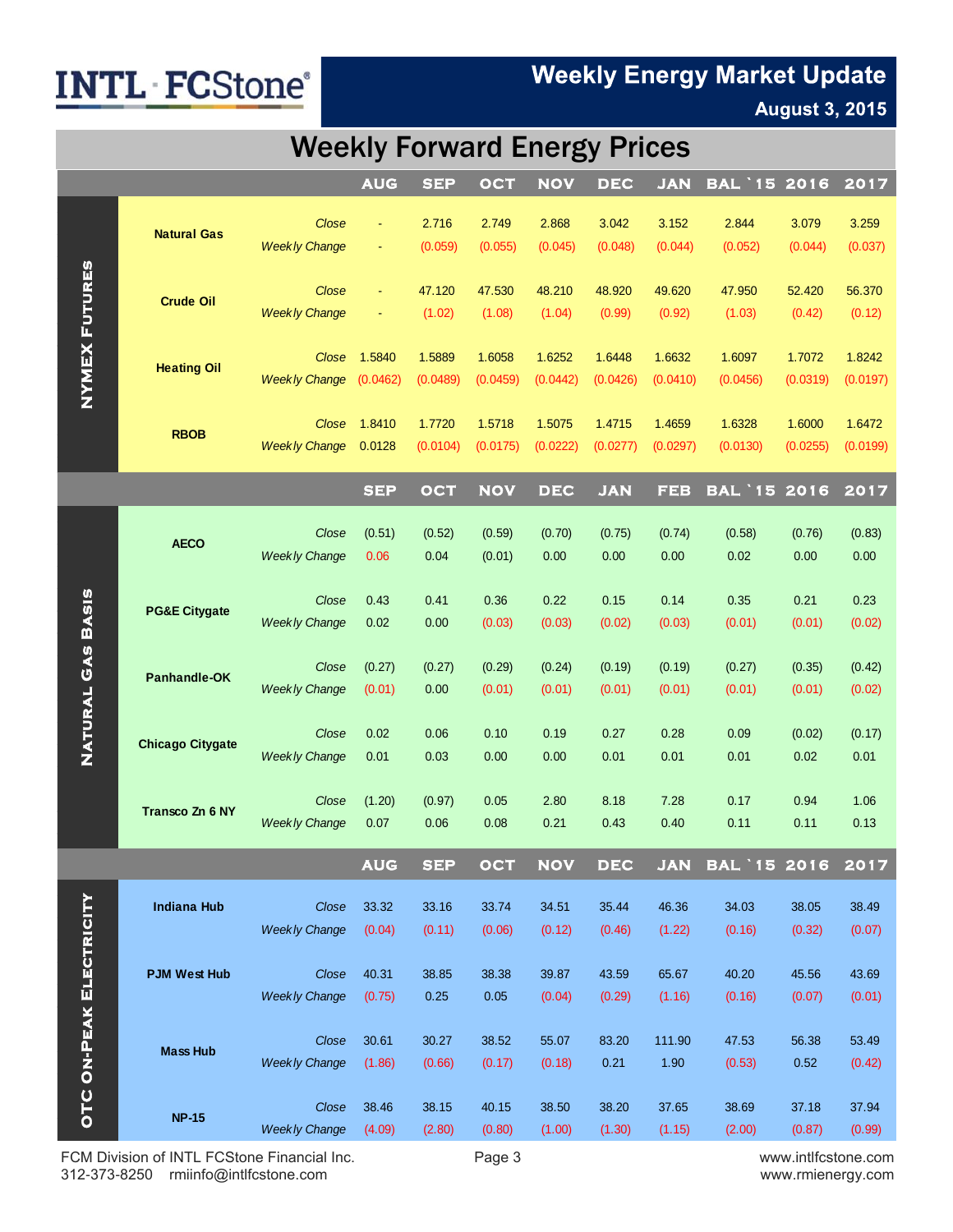### **Weekly Energy Market Update**

### **August 3, 2015**

### Weekly Forward Energy Prices

|                                |                          |                               | <b>AUG</b>     | <b>SEP</b>         | OCT        | <b>NOV</b> | <b>DEC</b> | <b>JAN</b> | <b>BAL '15 2016</b> |                    | 2017     |
|--------------------------------|--------------------------|-------------------------------|----------------|--------------------|------------|------------|------------|------------|---------------------|--------------------|----------|
|                                |                          |                               |                |                    |            |            |            |            |                     |                    |          |
| <b>NYMEX FUTURES</b>           | <b>Natural Gas</b>       | Close                         | $\equiv$       | 2.716              | 2.749      | 2.868      | 3.042      | 3.152      | 2.844               | 3.079              | 3.259    |
|                                |                          | <b>Weekly Change</b>          |                | (0.059)            | (0.055)    | (0.045)    | (0.048)    | (0.044)    | (0.052)             | (0.044)            | (0.037)  |
|                                | <b>Crude Oil</b>         |                               |                |                    |            |            |            |            |                     |                    |          |
|                                |                          | Close                         | $\blacksquare$ | 47.120             | 47.530     | 48.210     | 48.920     | 49.620     | 47.950              | 52.420             | 56.370   |
|                                |                          | <b>Weekly Change</b>          |                | (1.02)             | (1.08)     | (1.04)     | (0.99)     | (0.92)     | (1.03)              | (0.42)             | (0.12)   |
|                                |                          |                               |                |                    |            |            |            |            |                     |                    |          |
|                                | <b>Heating Oil</b>       | Close<br><b>Weekly Change</b> | 1.5840         | 1.5889<br>(0.0489) | 1.6058     | 1.6252     | 1.6448     | 1.6632     | 1.6097              | 1.7072<br>(0.0319) | 1.8242   |
|                                |                          |                               | (0.0462)       |                    | (0.0459)   | (0.0442)   | (0.0426)   | (0.0410)   | (0.0456)            |                    | (0.0197) |
|                                |                          | Close                         | 1.8410         | 1.7720             | 1.5718     | 1.5075     | 1.4715     | 1.4659     | 1.6328              | 1.6000             | 1.6472   |
|                                | <b>RBOB</b>              | <b>Weekly Change</b>          | 0.0128         | (0.0104)           | (0.0175)   | (0.0222)   | (0.0277)   | (0.0297)   | (0.0130)            | (0.0255)           | (0.0199) |
|                                |                          |                               |                |                    |            |            |            |            |                     |                    |          |
|                                |                          |                               | <b>SEP</b>     | OCT                | <b>NOV</b> | <b>DEC</b> | <b>JAN</b> | <b>FEB</b> | <b>BAL '15 2016</b> |                    | 2017     |
|                                |                          |                               |                |                    |            |            |            |            |                     |                    |          |
|                                | <b>AECO</b>              | Close                         | (0.51)         | (0.52)             | (0.59)     | (0.70)     | (0.75)     | (0.74)     | (0.58)              | (0.76)             | (0.83)   |
|                                |                          | <b>Weekly Change</b>          | 0.06           | 0.04               | (0.01)     | 0.00       | 0.00       | 0.00       | 0.02                | 0.00               | 0.00     |
|                                | <b>PG&amp;E Citygate</b> |                               |                |                    |            |            |            |            |                     |                    |          |
|                                |                          | Close<br><b>Weekly Change</b> | 0.43<br>0.02   | 0.41<br>0.00       | 0.36       | 0.22       | 0.15       | 0.14       | 0.35                | 0.21               | 0.23     |
|                                |                          |                               |                |                    | (0.03)     | (0.03)     | (0.02)     | (0.03)     | (0.01)              | (0.01)             | (0.02)   |
| NATURAL GAS BASIS              | Panhandle-OK             | Close                         | (0.27)         | (0.27)             | (0.29)     | (0.24)     | (0.19)     | (0.19)     | (0.27)              | (0.35)             | (0.42)   |
|                                |                          | <b>Weekly Change</b>          | (0.01)         | 0.00               | (0.01)     | (0.01)     | (0.01)     | (0.01)     | (0.01)              | (0.01)             | (0.02)   |
|                                |                          |                               |                |                    |            |            |            |            |                     |                    |          |
|                                |                          | Close                         | 0.02           | 0.06               | 0.10       | 0.19       | 0.27       | 0.28       | 0.09                | (0.02)             | (0.17)   |
|                                | <b>Chicago Citygate</b>  | <b>Weekly Change</b>          | 0.01           | 0.03               | 0.00       | 0.00       | 0.01       | 0.01       | 0.01                | 0.02               | 0.01     |
|                                |                          |                               |                |                    |            |            |            |            |                     |                    |          |
|                                |                          | Close                         | (1.20)         | (0.97)             | 0.05       | 2.80       | 8.18       | 7.28       | 0.17                | 0.94               | 1.06     |
|                                | Transco Zn 6 NY          | <b>Weekly Change</b>          | 0.07           | 0.06               | 0.08       | 0.21       | 0.43       | 0.40       | 0.11                | 0.11               | 0.13     |
|                                |                          |                               |                |                    |            |            |            |            |                     |                    |          |
|                                |                          |                               | <b>AUG</b>     | <b>SEP</b>         | OCT        | <b>NOV</b> | <b>DEC</b> | <b>JAN</b> | <b>BAL 15 2016</b>  |                    | 2017     |
|                                | <b>Indiana Hub</b>       | Close                         | 33.32          | 33.16              | 33.74      | 34.51      | 35.44      | 46.36      | 34.03               | 38.05              | 38.49    |
|                                |                          | <b>Weekly Change</b>          | (0.04)         | (0.11)             | (0.06)     | (0.12)     | (0.46)     | (1.22)     | (0.16)              | (0.32)             | (0.07)   |
|                                |                          |                               |                |                    |            |            |            |            |                     |                    |          |
|                                | <b>PJM West Hub</b>      | Close                         | 40.31          | 38.85              | 38.38      | 39.87      | 43.59      | 65.67      | 40.20               | 45.56              | 43.69    |
|                                |                          | <b>Weekly Change</b>          | (0.75)         | 0.25               | 0.05       | (0.04)     | (0.29)     | (1.16)     | (0.16)              | (0.07)             | (0.01)   |
| <b>OTC ON-PEAK ELECTRICITY</b> |                          |                               |                |                    |            |            |            |            |                     |                    |          |
|                                | <b>Mass Hub</b>          | Close                         | 30.61          | 30.27              | 38.52      | 55.07      | 83.20      | 111.90     | 47.53               | 56.38              | 53.49    |
|                                |                          | <b>Weekly Change</b>          | (1.86)         | (0.66)             | (0.17)     | (0.18)     | 0.21       | 1.90       | (0.53)              | 0.52               | (0.42)   |
|                                |                          |                               |                |                    |            |            |            |            |                     |                    |          |
|                                |                          | Close                         | 38.46          | 38.15              | 40.15      | 38.50      | 38.20      | 37.65      | 38.69               | 37.18              | 37.94    |
|                                | <b>NP-15</b>             | <b>Weekly Change</b>          | (4.09)         | (2.80)             | (0.80)     | (1.00)     | (1.30)     | (1.15)     | (2.00)              | (0.87)             | (0.99)   |
|                                |                          |                               |                |                    |            |            |            |            |                     |                    |          |